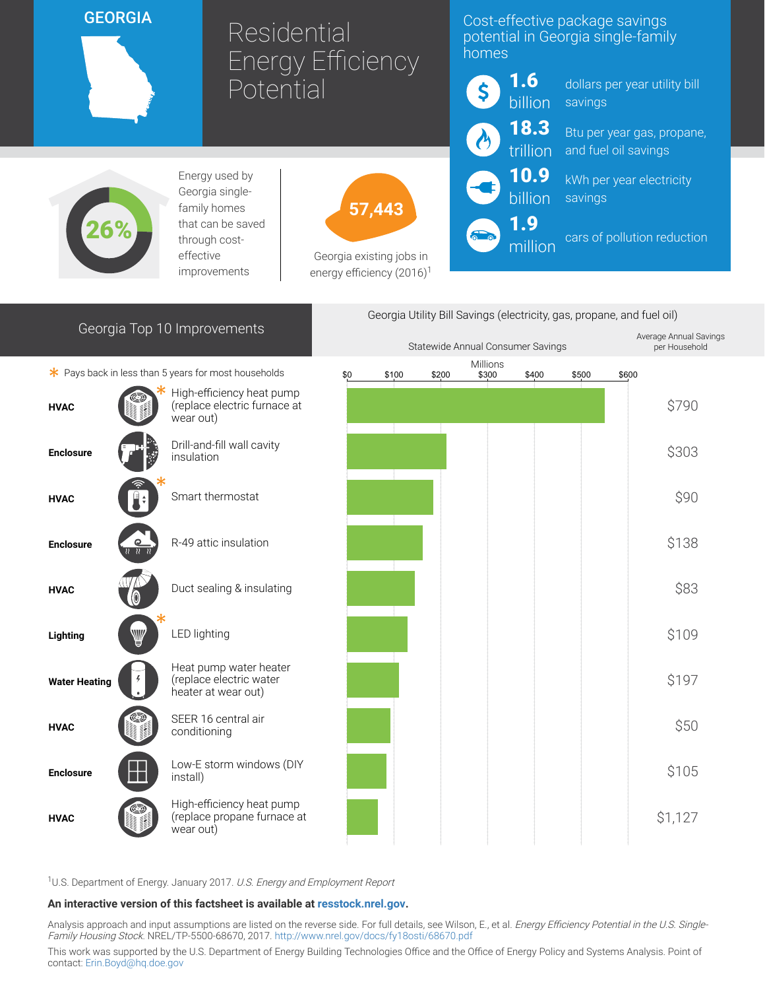# **GEORGIA**

# Residential Energy Efficiency **Potential**

## Cost-effective package savings potential in Georgia single-family homes



dollars per year utility bill savings

Btu per year gas, propane, and fuel oil savings

kWh per year electricity savings

cars of pollution reduction



Energy used by Georgia singlefamily homes that can be saved through costeffective improvements



Georgia existing jobs in energy efficiency  $(2016)^1$ 

# Georgia Top 10 Improvements

 $*$  Pays back in less than 5 years for most households





<sup>1</sup>U.S. Department of Energy. January 2017. U.S. Energy and Employment Report

#### An interactive version of this factsheet is available at [resstock.nrel.gov.](https://resstock.nrel.gov/)

Analysis approach and input assumptions are listed on the reverse side. For full details, see Wilson, E., et al. Energy Efficiency Potential in the U.S. Single-Family Housing Stock. NREL/TP-5500-68670, 2017. <http://www.nrel.gov/docs/fy18osti/68670.pdf>

This work was supported by the U.S. Department of Energy Building Technologies Office and the Office of Energy Policy and Systems Analysis. Point of contact: [Erin.Boyd@hq.doe.gov](mailto:Erin.Boyd@hq.doe.gov)